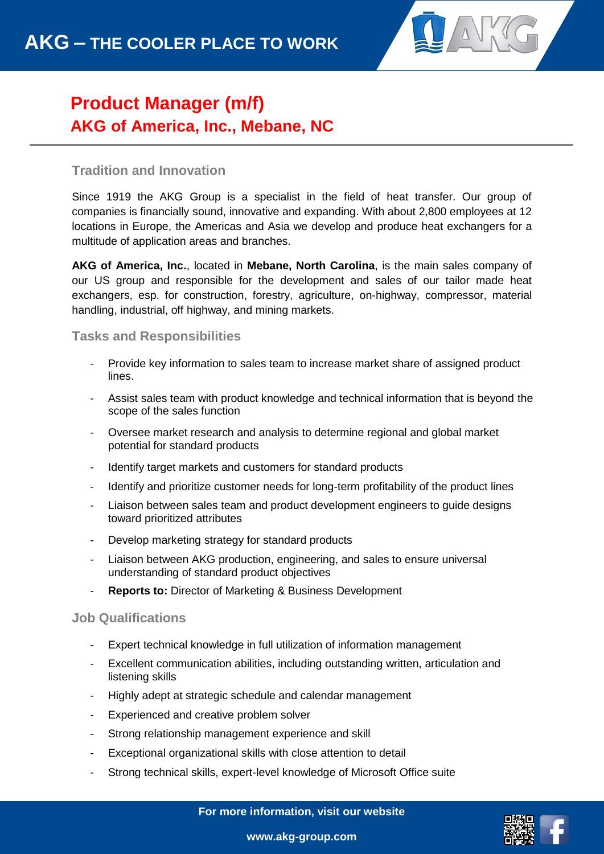

## **Product Manager (m/f) AKG of America, Inc., Mebane, NC**

### **Tradition and Innovation**

Since 1919 the AKG Group is a specialist in the field of heat transfer. Our group of companies is financially sound, innovative and expanding. With about 2,800 employees at 12 locations in Europe, the Americas and Asia we develop and produce heat exchangers for a multitude of application areas and branches.

**AKG of America, Inc.**, located in **Mebane, North Carolina**, is the main sales company of our US group and responsible for the development and sales of our tailor made heat exchangers, esp. for construction, forestry, agriculture, on-highway, compressor, material handling, industrial, off highway, and mining markets.

#### **Tasks and Responsibilities**

- Provide key information to sales team to increase market share of assigned product lines.
- Assist sales team with product knowledge and technical information that is beyond the scope of the sales function
- Oversee market research and analysis to determine regional and global market potential for standard products
- Identify target markets and customers for standard products
- Identify and prioritize customer needs for long-term profitability of the product lines
- Liaison between sales team and product development engineers to quide designs toward prioritized attributes
- Develop marketing strategy for standard products
- Liaison between AKG production, engineering, and sales to ensure universal understanding of standard product objectives
- **Reports to:** Director of Marketing & Business Development

#### **Job Qualifications**

- Expert technical knowledge in full utilization of information management
- Excellent communication abilities, including outstanding written, articulation and listening skills
- Highly adept at strategic schedule and calendar management
- Experienced and creative problem solver
- Strong relationship management experience and skill
- Exceptional organizational skills with close attention to detail
- Strong technical skills, expert-level knowledge of Microsoft Office suite

**For more information, visit our website**



**www.akg-group.com**